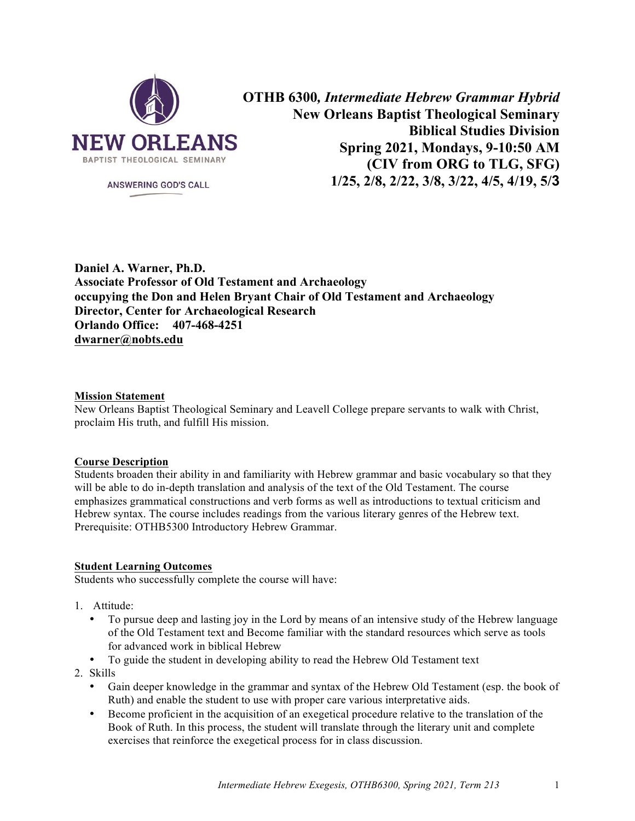

**ANSWERING GOD'S CALL** 

**OTHB 6300***, Intermediate Hebrew Grammar Hybrid* **New Orleans Baptist Theological Seminary Biblical Studies Division Spring 2021, Mondays, 9-10:50 AM (CIV from ORG to TLG, SFG) 1/25, 2/8, 2/22, 3/8, 3/22, 4/5, 4/19, 5/3**

**Daniel A. Warner, Ph.D. Associate Professor of Old Testament and Archaeology occupying the Don and Helen Bryant Chair of Old Testament and Archaeology Director, Center for Archaeological Research Orlando Office: 407-468-4251 dwarner@nobts.edu**

### **Mission Statement**

New Orleans Baptist Theological Seminary and Leavell College prepare servants to walk with Christ, proclaim His truth, and fulfill His mission.

#### **Course Description**

Students broaden their ability in and familiarity with Hebrew grammar and basic vocabulary so that they will be able to do in-depth translation and analysis of the text of the Old Testament. The course emphasizes grammatical constructions and verb forms as well as introductions to textual criticism and Hebrew syntax. The course includes readings from the various literary genres of the Hebrew text. Prerequisite: OTHB5300 Introductory Hebrew Grammar.

#### **Student Learning Outcomes**

Students who successfully complete the course will have:

- 1. Attitude:
	- To pursue deep and lasting joy in the Lord by means of an intensive study of the Hebrew language of the Old Testament text and Become familiar with the standard resources which serve as tools for advanced work in biblical Hebrew
	- To guide the student in developing ability to read the Hebrew Old Testament text
- 2. Skills
	- Gain deeper knowledge in the grammar and syntax of the Hebrew Old Testament (esp. the book of Ruth) and enable the student to use with proper care various interpretative aids.
	- Become proficient in the acquisition of an exegetical procedure relative to the translation of the Book of Ruth. In this process, the student will translate through the literary unit and complete exercises that reinforce the exegetical process for in class discussion.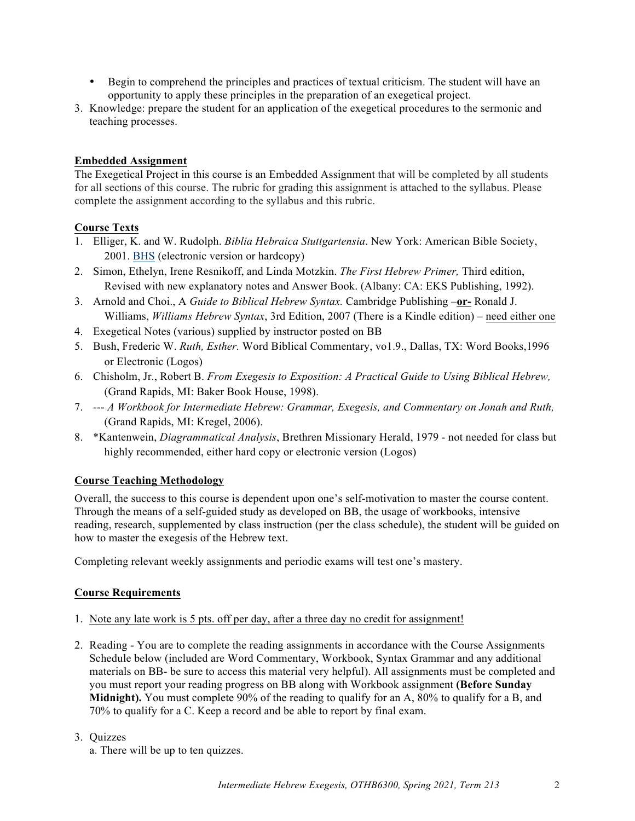- Begin to comprehend the principles and practices of textual criticism. The student will have an opportunity to apply these principles in the preparation of an exegetical project.
- 3. Knowledge: prepare the student for an application of the exegetical procedures to the sermonic and teaching processes.

# **Embedded Assignment**

The Exegetical Project in this course is an Embedded Assignment that will be completed by all students for all sections of this course. The rubric for grading this assignment is attached to the syllabus. Please complete the assignment according to the syllabus and this rubric.

# **Course Texts**

- 1. Elliger, K. and W. Rudolph. *Biblia Hebraica Stuttgartensia*. New York: American Bible Society, 2001. BHS (electronic version or hardcopy)
- 2. Simon, Ethelyn, Irene Resnikoff, and Linda Motzkin. *The First Hebrew Primer,* Third edition, Revised with new explanatory notes and Answer Book. (Albany: CA: EKS Publishing, 1992).
- 3. Arnold and Choi., A *Guide to Biblical Hebrew Syntax.* Cambridge Publishing –**or-** Ronald J. Williams, *Williams Hebrew Syntax*, 3rd Edition, 2007 (There is a Kindle edition) – need either one
- 4. Exegetical Notes (various) supplied by instructor posted on BB
- 5. Bush, Frederic W. *Ruth, Esther.* Word Biblical Commentary, vo1.9., Dallas, TX: Word Books,1996 or Electronic (Logos)
- 6. Chisholm, Jr., Robert B. *From Exegesis to Exposition: A Practical Guide to Using Biblical Hebrew,* (Grand Rapids, MI: Baker Book House, 1998).
- 7. --- *A Workbook for Intermediate Hebrew: Grammar, Exegesis, and Commentary on Jonah and Ruth,* (Grand Rapids, MI: Kregel, 2006).
- 8. \*Kantenwein, *Diagrammatical Analysis*, Brethren Missionary Herald, 1979 not needed for class but highly recommended, either hard copy or electronic version (Logos)

### **Course Teaching Methodology**

Overall, the success to this course is dependent upon one's self-motivation to master the course content. Through the means of a self-guided study as developed on BB, the usage of workbooks, intensive reading, research, supplemented by class instruction (per the class schedule), the student will be guided on how to master the exegesis of the Hebrew text.

Completing relevant weekly assignments and periodic exams will test one's mastery.

### **Course Requirements**

- 1. Note any late work is 5 pts. off per day, after a three day no credit for assignment!
- 2. Reading You are to complete the reading assignments in accordance with the Course Assignments Schedule below (included are Word Commentary, Workbook, Syntax Grammar and any additional materials on BB- be sure to access this material very helpful). All assignments must be completed and you must report your reading progress on BB along with Workbook assignment **(Before Sunday Midnight).** You must complete 90% of the reading to qualify for an A, 80% to qualify for a B, and 70% to qualify for a C. Keep a record and be able to report by final exam.

# 3. Quizzes

a. There will be up to ten quizzes.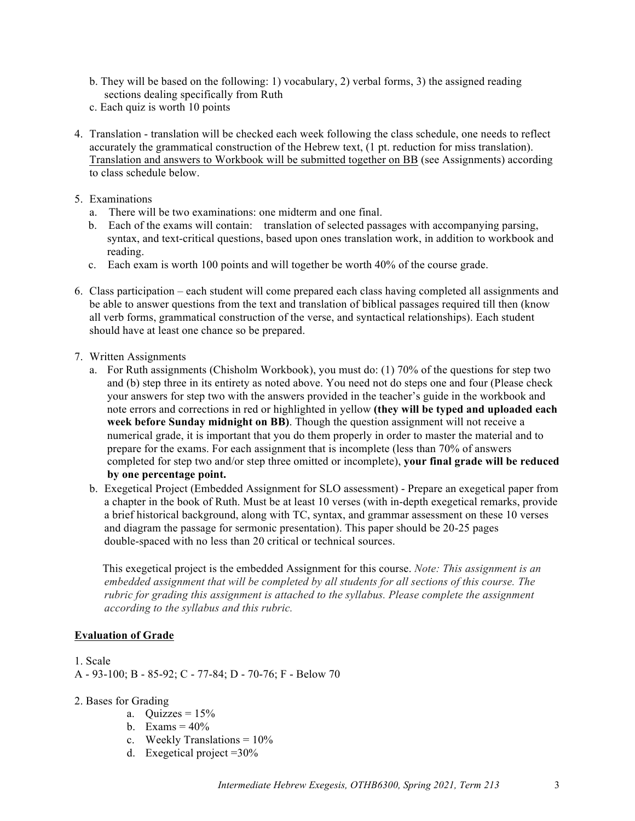- b. They will be based on the following: 1) vocabulary, 2) verbal forms, 3) the assigned reading sections dealing specifically from Ruth
- c. Each quiz is worth 10 points
- 4. Translation translation will be checked each week following the class schedule, one needs to reflect accurately the grammatical construction of the Hebrew text, (1 pt. reduction for miss translation). Translation and answers to Workbook will be submitted together on BB (see Assignments) according to class schedule below.
- 5. Examinations
	- a. There will be two examinations: one midterm and one final.
	- b. Each of the exams will contain: translation of selected passages with accompanying parsing, syntax, and text-critical questions, based upon ones translation work, in addition to workbook and reading.
	- c. Each exam is worth 100 points and will together be worth 40% of the course grade.
- 6. Class participation each student will come prepared each class having completed all assignments and be able to answer questions from the text and translation of biblical passages required till then (know all verb forms, grammatical construction of the verse, and syntactical relationships). Each student should have at least one chance so be prepared.
- 7. Written Assignments
	- a. For Ruth assignments (Chisholm Workbook), you must do: (1) 70% of the questions for step two and (b) step three in its entirety as noted above. You need not do steps one and four (Please check your answers for step two with the answers provided in the teacher's guide in the workbook and note errors and corrections in red or highlighted in yellow **(they will be typed and uploaded each week before Sunday midnight on BB)**. Though the question assignment will not receive a numerical grade, it is important that you do them properly in order to master the material and to prepare for the exams. For each assignment that is incomplete (less than 70% of answers completed for step two and/or step three omitted or incomplete), **your final grade will be reduced by one percentage point.**
	- b. Exegetical Project (Embedded Assignment for SLO assessment) Prepare an exegetical paper from a chapter in the book of Ruth. Must be at least 10 verses (with in-depth exegetical remarks, provide a brief historical background, along with TC, syntax, and grammar assessment on these 10 verses and diagram the passage for sermonic presentation). This paper should be 20-25 pages double-spaced with no less than 20 critical or technical sources.

This exegetical project is the embedded Assignment for this course. *Note: This assignment is an embedded assignment that will be completed by all students for all sections of this course. The rubric for grading this assignment is attached to the syllabus. Please complete the assignment according to the syllabus and this rubric.*

### **Evaluation of Grade**

1. Scale A - 93-100; B - 85-92; C - 77-84; D - 70-76; F - Below 70

- 2. Bases for Grading
	- a. Quizzes =  $15%$
	- b. Exams  $= 40\%$
	- c. Weekly Translations =  $10\%$
	- d. Exegetical project  $=30\%$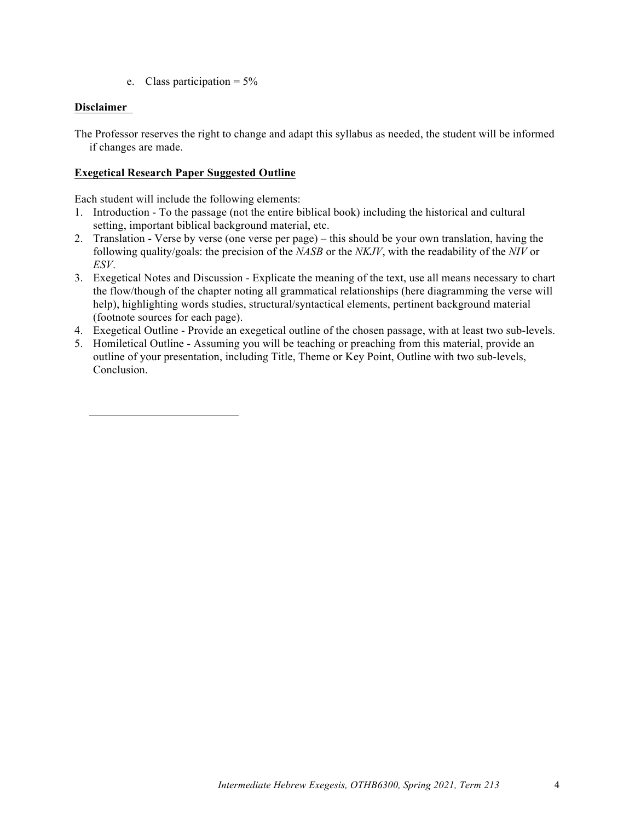e. Class participation =  $5\%$ 

# **Disclaimer**

The Professor reserves the right to change and adapt this syllabus as needed, the student will be informed if changes are made.

### **Exegetical Research Paper Suggested Outline**

Each student will include the following elements:

- 1. Introduction To the passage (not the entire biblical book) including the historical and cultural setting, important biblical background material, etc.
- 2. Translation Verse by verse (one verse per page) this should be your own translation, having the following quality/goals: the precision of the *NASB* or the *NKJV*, with the readability of the *NIV* or *ESV*.
- 3. Exegetical Notes and Discussion Explicate the meaning of the text, use all means necessary to chart the flow/though of the chapter noting all grammatical relationships (here diagramming the verse will help), highlighting words studies, structural/syntactical elements, pertinent background material (footnote sources for each page).
- 4. Exegetical Outline Provide an exegetical outline of the chosen passage, with at least two sub-levels.
- 5. Homiletical Outline Assuming you will be teaching or preaching from this material, provide an outline of your presentation, including Title, Theme or Key Point, Outline with two sub-levels, Conclusion.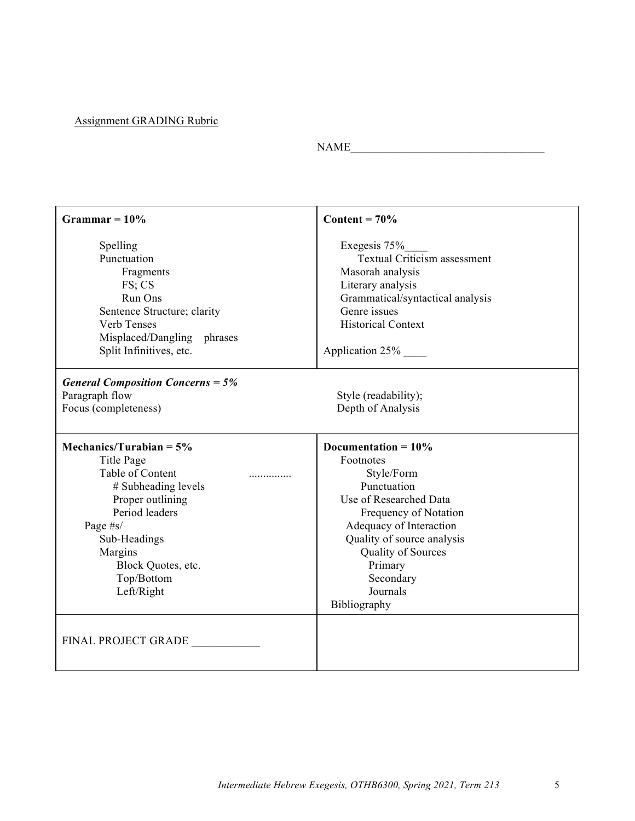# Assignment GRADING Rubric

 $\text{NAME}\_$ 

| Grammar = $10\%$                         | Content = $70\%$                                    |  |
|------------------------------------------|-----------------------------------------------------|--|
| Spelling<br>Punctuation                  | Exegesis 75%<br><b>Textual Criticism assessment</b> |  |
| Fragments                                | Masorah analysis                                    |  |
| FS; CS                                   | Literary analysis                                   |  |
| Run Ons                                  | Grammatical/syntactical analysis                    |  |
| Sentence Structure; clarity              | Genre issues                                        |  |
| Verb Tenses                              | <b>Historical Context</b>                           |  |
| Misplaced/Dangling phrases               |                                                     |  |
| Split Infinitives, etc.                  | Application 25%                                     |  |
| <b>General Composition Concerns = 5%</b> |                                                     |  |
| Paragraph flow                           | Style (readability);                                |  |
| Focus (completeness)                     | Depth of Analysis                                   |  |
| Mechanics/Turabian = $5\%$               | Documentation = $10\%$                              |  |
|                                          |                                                     |  |
| Title Page                               | Footnotes                                           |  |
| Table of Content                         | Style/Form                                          |  |
| # Subheading levels                      | Punctuation                                         |  |
| Proper outlining                         | Use of Researched Data                              |  |
| Period leaders                           | Frequency of Notation                               |  |
| Page #s/                                 | Adequacy of Interaction                             |  |
| Sub-Headings                             | Quality of source analysis                          |  |
| Margins                                  | Quality of Sources                                  |  |
| Block Quotes, etc.                       | Primary                                             |  |
| Top/Bottom                               | Secondary                                           |  |
| Left/Right                               | Journals                                            |  |
|                                          | Bibliography                                        |  |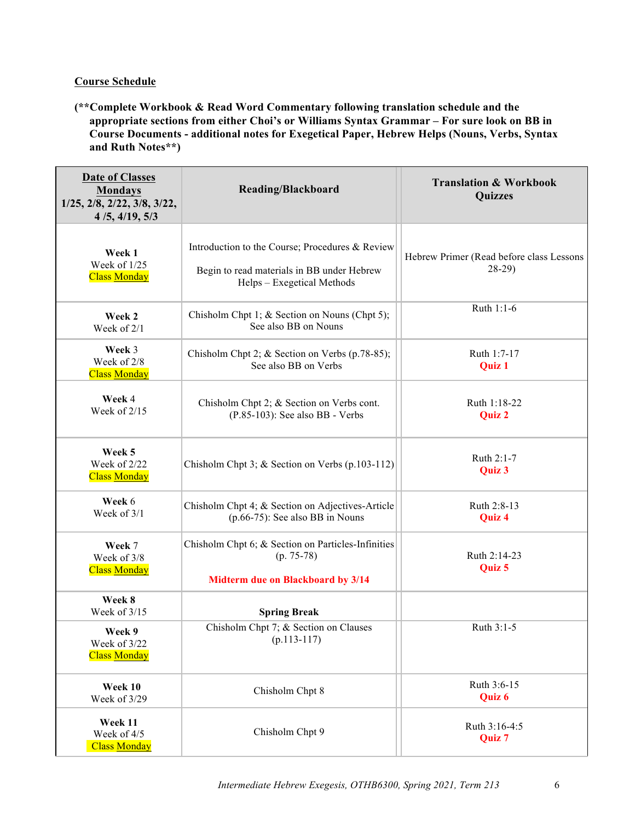# **Course Schedule**

**(\*\*Complete Workbook & Read Word Commentary following translation schedule and the appropriate sections from either Choi's or Williams Syntax Grammar – For sure look on BB in Course Documents - additional notes for Exegetical Paper, Hebrew Helps (Nouns, Verbs, Syntax and Ruth Notes\*\*)**

| <b>Date of Classes</b><br><b>Mondays</b><br>$1/25$ , $2/8$ , $2/22$ , $3/8$ , $3/22$ ,<br>4/5, 4/19, 5/3 | Reading/Blackboard                                                                                                          | <b>Translation &amp; Workbook</b><br><b>Quizzes</b> |
|----------------------------------------------------------------------------------------------------------|-----------------------------------------------------------------------------------------------------------------------------|-----------------------------------------------------|
| Week 1<br>Week of 1/25<br><b>Class Monday</b>                                                            | Introduction to the Course; Procedures & Review<br>Begin to read materials in BB under Hebrew<br>Helps – Exegetical Methods | Hebrew Primer (Read before class Lessons<br>$28-29$ |
| Week 2<br>Week of $2/1$                                                                                  | Chisholm Chpt 1; & Section on Nouns (Chpt 5);<br>See also BB on Nouns                                                       | Ruth 1:1-6                                          |
| Week 3<br>Week of 2/8<br><b>Class Monday</b>                                                             | Chisholm Chpt 2; & Section on Verbs (p.78-85);<br>See also BB on Verbs                                                      | Ruth 1:7-17<br>Quiz 1                               |
| Week 4<br>Week of 2/15                                                                                   | Chisholm Chpt 2; & Section on Verbs cont.<br>$(P.85-103)$ : See also BB - Verbs                                             | Ruth 1:18-22<br><b>Quiz 2</b>                       |
| Week 5<br>Week of 2/22<br><b>Class Monday</b>                                                            | Chisholm Chpt 3; & Section on Verbs (p.103-112)                                                                             | Ruth 2:1-7<br>Quiz 3                                |
| Week 6<br>Week of 3/1                                                                                    | Chisholm Chpt 4; & Section on Adjectives-Article<br>$(p.66-75)$ : See also BB in Nouns                                      | Ruth 2:8-13<br>Quiz 4                               |
| Week 7<br>Week of 3/8<br><b>Class Monday</b>                                                             | Chisholm Chpt 6; & Section on Particles-Infinities<br>$(p. 75-78)$<br>Midterm due on Blackboard by 3/14                     | Ruth 2:14-23<br>Quiz 5                              |
| Week 8<br>Week of 3/15                                                                                   | <b>Spring Break</b>                                                                                                         |                                                     |
| Week 9<br>Week of 3/22<br><b>Class Monday</b>                                                            | Chisholm Chpt 7; & Section on Clauses<br>$(p.113-117)$                                                                      | Ruth 3:1-5                                          |
| Week 10<br>Week of 3/29                                                                                  | Chisholm Chpt 8                                                                                                             | Ruth 3:6-15<br>Quiz 6                               |
| Week 11<br>Week of 4/5<br><b>Class Monday</b>                                                            | Chisholm Chpt 9                                                                                                             | Ruth 3:16-4:5<br>Quiz 7                             |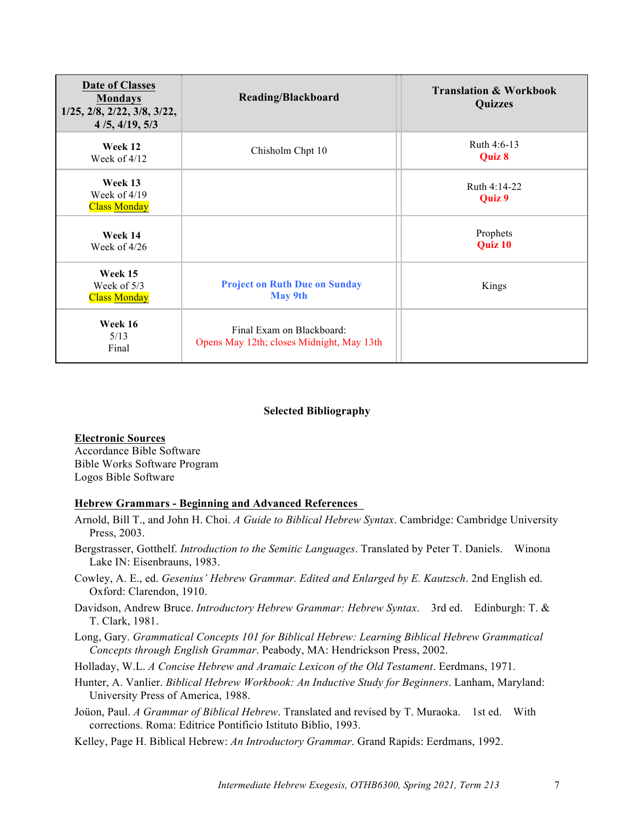| <b>Date of Classes</b><br><b>Mondays</b><br>$1/25$ , $2/8$ , $2/22$ , $3/8$ , $3/22$ ,<br>4/5, 4/19, 5/3 | Reading/Blackboard                                                     | <b>Translation &amp; Workbook</b><br>Quizzes |
|----------------------------------------------------------------------------------------------------------|------------------------------------------------------------------------|----------------------------------------------|
| Week 12<br>Week of $4/12$                                                                                | Chisholm Chpt 10                                                       | Ruth 4:6-13<br>Quiz 8                        |
| Week 13<br>Week of $4/19$<br><b>Class Monday</b>                                                         |                                                                        | Ruth 4:14-22<br>Quiz 9                       |
| Week 14<br>Week of 4/26                                                                                  |                                                                        | Prophets<br>Quiz 10                          |
| Week 15<br>Week of $5/3$<br><b>Class Monday</b>                                                          | <b>Project on Ruth Due on Sunday</b><br><b>May 9th</b>                 | Kings                                        |
| Week 16<br>5/13<br>Final                                                                                 | Final Exam on Blackboard:<br>Opens May 12th; closes Midnight, May 13th |                                              |

#### **Selected Bibliography**

#### **Electronic Sources**

Accordance Bible Software Bible Works Software Program Logos Bible Software

# **Hebrew Grammars - Beginning and Advanced References**

- Arnold, Bill T., and John H. Choi. *A Guide to Biblical Hebrew Syntax*. Cambridge: Cambridge University Press, 2003.
- Bergstrasser, Gotthelf. *Introduction to the Semitic Languages*. Translated by Peter T. Daniels. Winona Lake IN: Eisenbrauns, 1983.
- Cowley, A. E., ed. *Gesenius' Hebrew Grammar. Edited and Enlarged by E. Kautzsch*. 2nd English ed. Oxford: Clarendon, 1910.
- Davidson, Andrew Bruce. *Introductory Hebrew Grammar: Hebrew Syntax*. 3rd ed. Edinburgh: T. & T. Clark, 1981.
- Long, Gary. *Grammatical Concepts 101 for Biblical Hebrew: Learning Biblical Hebrew Grammatical Concepts through English Grammar*. Peabody, MA: Hendrickson Press, 2002.

Holladay, W.L. *A Concise Hebrew and Aramaic Lexicon of the Old Testament*. Eerdmans, 1971.

- Hunter, A. Vanlier. *Biblical Hebrew Workbook: An Inductive Study for Beginners*. Lanham, Maryland: University Press of America, 1988.
- Joüon, Paul. *A Grammar of Biblical Hebrew*. Translated and revised by T. Muraoka. 1st ed. With corrections. Roma: Editrice Pontificio Istituto Biblio, 1993.
- Kelley, Page H. Biblical Hebrew: *An Introductory Grammar*. Grand Rapids: Eerdmans, 1992.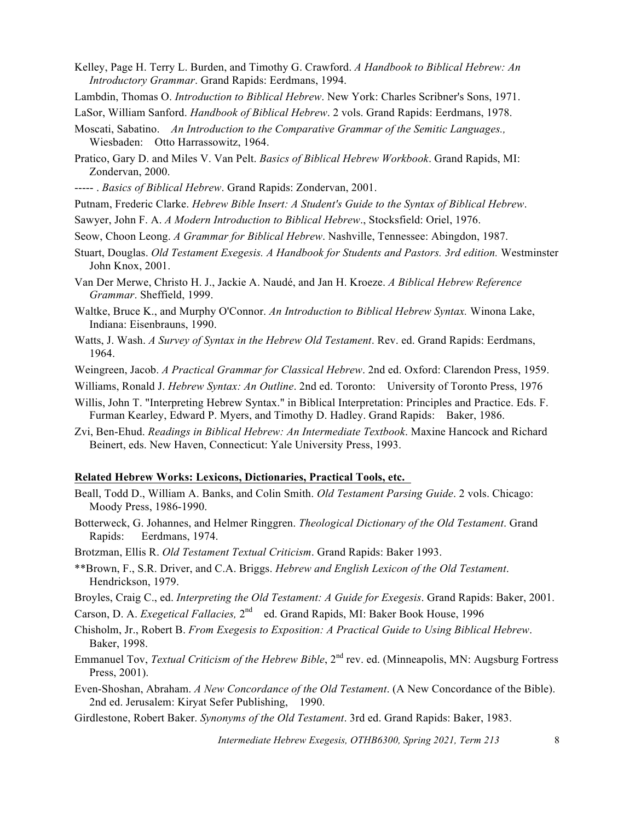- Kelley, Page H. Terry L. Burden, and Timothy G. Crawford. *A Handbook to Biblical Hebrew: An Introductory Grammar*. Grand Rapids: Eerdmans, 1994.
- Lambdin, Thomas O. *Introduction to Biblical Hebrew*. New York: Charles Scribner's Sons, 1971.
- LaSor, William Sanford. *Handbook of Biblical Hebrew*. 2 vols. Grand Rapids: Eerdmans, 1978.
- Moscati, Sabatino. *An Introduction to the Comparative Grammar of the Semitic Languages.,* Wiesbaden: Otto Harrassowitz, 1964.
- Pratico, Gary D. and Miles V. Van Pelt. *Basics of Biblical Hebrew Workbook*. Grand Rapids, MI: Zondervan, 2000.
- ----- . *Basics of Biblical Hebrew*. Grand Rapids: Zondervan, 2001.
- Putnam, Frederic Clarke. *Hebrew Bible Insert: A Student's Guide to the Syntax of Biblical Hebrew*.
- Sawyer, John F. A. *A Modern Introduction to Biblical Hebrew*., Stocksfield: Oriel, 1976.
- Seow, Choon Leong. *A Grammar for Biblical Hebrew*. Nashville, Tennessee: Abingdon, 1987.
- Stuart, Douglas. *Old Testament Exegesis. A Handbook for Students and Pastors. 3rd edition.* Westminster John Knox, 2001.
- Van Der Merwe, Christo H. J., Jackie A. Naudé, and Jan H. Kroeze. *A Biblical Hebrew Reference Grammar*. Sheffield, 1999.
- Waltke, Bruce K., and Murphy O'Connor. *An Introduction to Biblical Hebrew Syntax.* Winona Lake, Indiana: Eisenbrauns, 1990.
- Watts, J. Wash. *A Survey of Syntax in the Hebrew Old Testament*. Rev. ed. Grand Rapids: Eerdmans, 1964.
- Weingreen, Jacob. *A Practical Grammar for Classical Hebrew*. 2nd ed. Oxford: Clarendon Press, 1959.
- Williams, Ronald J. *Hebrew Syntax: An Outline*. 2nd ed. Toronto: University of Toronto Press, 1976
- Willis, John T. "Interpreting Hebrew Syntax." in Biblical Interpretation: Principles and Practice. Eds. F. Furman Kearley, Edward P. Myers, and Timothy D. Hadley. Grand Rapids: Baker, 1986.
- Zvi, Ben-Ehud. *Readings in Biblical Hebrew: An Intermediate Textbook*. Maxine Hancock and Richard Beinert, eds. New Haven, Connecticut: Yale University Press, 1993.

#### **Related Hebrew Works: Lexicons, Dictionaries, Practical Tools, etc.**

- Beall, Todd D., William A. Banks, and Colin Smith. *Old Testament Parsing Guide*. 2 vols. Chicago: Moody Press, 1986-1990.
- Botterweck, G. Johannes, and Helmer Ringgren. *Theological Dictionary of the Old Testament*. Grand Rapids: Eerdmans, 1974.
- Brotzman, Ellis R. *Old Testament Textual Criticism*. Grand Rapids: Baker 1993.
- \*\*Brown, F., S.R. Driver, and C.A. Briggs. *Hebrew and English Lexicon of the Old Testament*. Hendrickson, 1979.
- Broyles, Craig C., ed. *Interpreting the Old Testament: A Guide for Exegesis*. Grand Rapids: Baker, 2001.
- Carson, D. A. *Exegetical Fallacies*, 2<sup>nd</sup> ed. Grand Rapids, MI: Baker Book House, 1996
- Chisholm, Jr., Robert B. *From Exegesis to Exposition: A Practical Guide to Using Biblical Hebrew*. Baker, 1998.
- Emmanuel Tov, *Textual Criticism of the Hebrew Bible*, 2<sup>nd</sup> rev. ed. (Minneapolis, MN: Augsburg Fortress Press, 2001).
- Even-Shoshan, Abraham. *A New Concordance of the Old Testament*. (A New Concordance of the Bible). 2nd ed. Jerusalem: Kiryat Sefer Publishing, 1990.
- Girdlestone, Robert Baker. *Synonyms of the Old Testament*. 3rd ed. Grand Rapids: Baker, 1983.

*Intermediate Hebrew Exegesis, OTHB6300, Spring 2021, Term 213* 8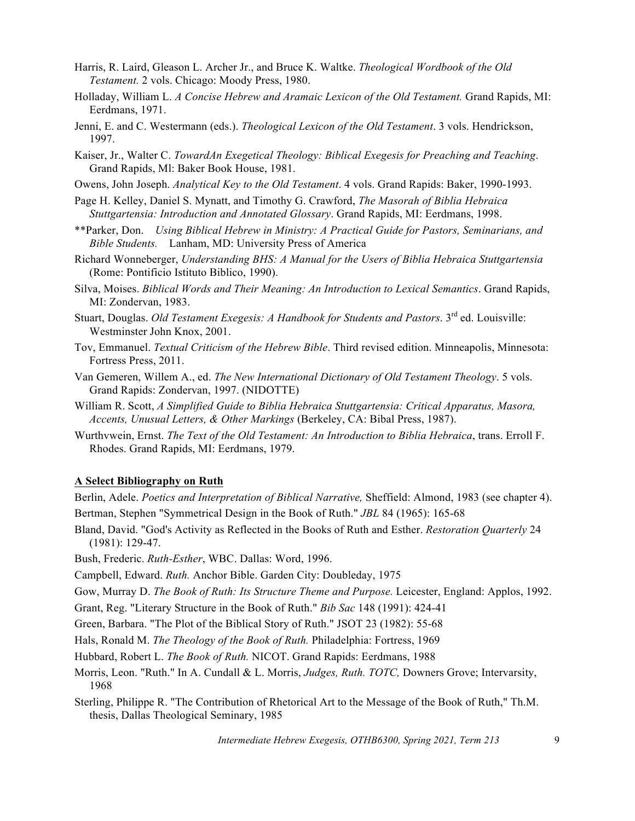- Harris, R. Laird, Gleason L. Archer Jr., and Bruce K. Waltke. *Theological Wordbook of the Old Testament.* 2 vols. Chicago: Moody Press, 1980.
- Holladay, William L. *A Concise Hebrew and Aramaic Lexicon of the Old Testament.* Grand Rapids, MI: Eerdmans, 1971.
- Jenni, E. and C. Westermann (eds.). *Theological Lexicon of the Old Testament*. 3 vols. Hendrickson, 1997.
- Kaiser, Jr., Walter C. *TowardAn Exegetical Theology: Biblical Exegesis for Preaching and Teaching*. Grand Rapids, Ml: Baker Book House, 1981.
- Owens, John Joseph. *Analytical Key to the Old Testament*. 4 vols. Grand Rapids: Baker, 1990-1993.
- Page H. Kelley, Daniel S. Mynatt, and Timothy G. Crawford, *The Masorah of Biblia Hebraica Stuttgartensia: Introduction and Annotated Glossary*. Grand Rapids, MI: Eerdmans, 1998.
- \*\*Parker, Don. *Using Biblical Hebrew in Ministry: A Practical Guide for Pastors, Seminarians, and Bible Students.* Lanham, MD: University Press of America
- Richard Wonneberger, *Understanding BHS: A Manual for the Users of Biblia Hebraica Stuttgartensia* (Rome: Pontificio Istituto Biblico, 1990).
- Silva, Moises. *Biblical Words and Their Meaning: An Introduction to Lexical Semantics*. Grand Rapids, MI: Zondervan, 1983.
- Stuart, Douglas. *Old Testament Exegesis: A Handbook for Students and Pastors*. 3<sup>rd</sup> ed. Louisville: Westminster John Knox, 2001.
- Tov, Emmanuel. *Textual Criticism of the Hebrew Bible*. Third revised edition. Minneapolis, Minnesota: Fortress Press, 2011.
- Van Gemeren, Willem A., ed. *The New International Dictionary of Old Testament Theology*. 5 vols. Grand Rapids: Zondervan, 1997. (NIDOTTE)
- William R. Scott, *A Simplified Guide to Biblia Hebraica Stuttgartensia: Critical Apparatus, Masora, Accents, Unusual Letters, & Other Markings* (Berkeley, CA: Bibal Press, 1987).
- Wurthvwein, Ernst. *The Text of the Old Testament: An Introduction to Biblia Hebraica*, trans. Erroll F. Rhodes. Grand Rapids, MI: Eerdmans, 1979.

#### **A Select Bibliography on Ruth**

Berlin, Adele. *Poetics and Interpretation of Biblical Narrative,* Sheffield: Almond, 1983 (see chapter 4). Bertman, Stephen "Symmetrical Design in the Book of Ruth." *JBL* 84 (1965): 165-68

Bland, David. "God's Activity as Reflected in the Books of Ruth and Esther. *Restoration Quarterly* 24 (1981): 129-47.

Bush, Frederic. *Ruth-Esther*, WBC. Dallas: Word, 1996.

Campbell, Edward. *Ruth.* Anchor Bible. Garden City: Doubleday, 1975

Gow, Murray D. *The Book of Ruth: Its Structure Theme and Purpose.* Leicester, England: Applos, 1992.

Grant, Reg. "Literary Structure in the Book of Ruth." *Bib Sac* 148 (1991): 424-41

Green, Barbara. "The Plot of the Biblical Story of Ruth." JSOT 23 (1982): 55-68

Hals, Ronald M. *The Theology of the Book of Ruth.* Philadelphia: Fortress, 1969

Hubbard, Robert L. *The Book of Ruth.* NICOT. Grand Rapids: Eerdmans, 1988

- Morris, Leon. "Ruth." In A. Cundall & L. Morris, *Judges, Ruth. TOTC,* Downers Grove; Intervarsity, 1968
- Sterling, Philippe R. "The Contribution of Rhetorical Art to the Message of the Book of Ruth," Th.M. thesis, Dallas Theological Seminary, 1985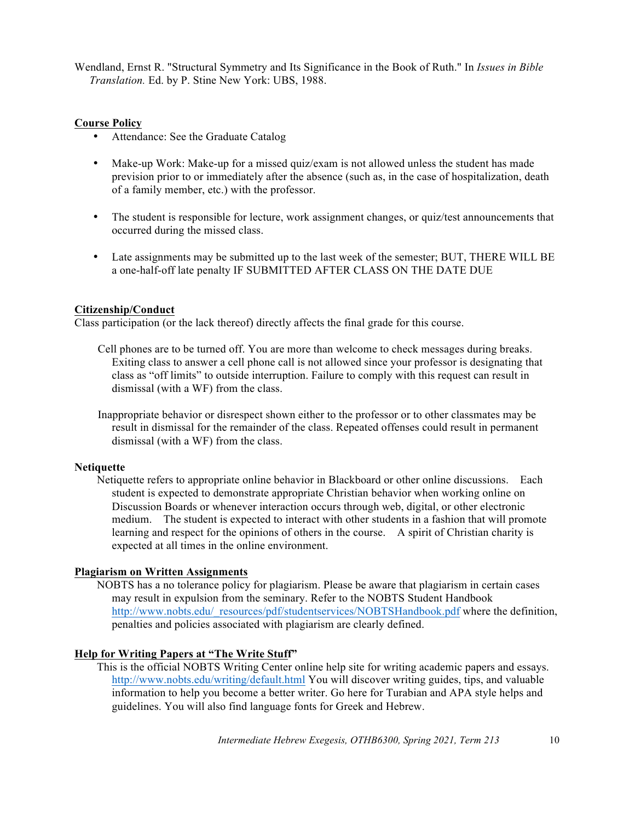Wendland, Ernst R. "Structural Symmetry and Its Significance in the Book of Ruth." In *Issues in Bible Translation.* Ed. by P. Stine New York: UBS, 1988.

#### **Course Policy**

- Attendance: See the Graduate Catalog
- Make-up Work: Make-up for a missed quiz/exam is not allowed unless the student has made prevision prior to or immediately after the absence (such as, in the case of hospitalization, death of a family member, etc.) with the professor.
- The student is responsible for lecture, work assignment changes, or quiz/test announcements that occurred during the missed class.
- Late assignments may be submitted up to the last week of the semester; BUT, THERE WILL BE a one-half-off late penalty IF SUBMITTED AFTER CLASS ON THE DATE DUE

### **Citizenship/Conduct**

Class participation (or the lack thereof) directly affects the final grade for this course.

- Cell phones are to be turned off. You are more than welcome to check messages during breaks. Exiting class to answer a cell phone call is not allowed since your professor is designating that class as "off limits" to outside interruption. Failure to comply with this request can result in dismissal (with a WF) from the class.
- Inappropriate behavior or disrespect shown either to the professor or to other classmates may be result in dismissal for the remainder of the class. Repeated offenses could result in permanent dismissal (with a WF) from the class.

### **Netiquette**

Netiquette refers to appropriate online behavior in Blackboard or other online discussions. Each student is expected to demonstrate appropriate Christian behavior when working online on Discussion Boards or whenever interaction occurs through web, digital, or other electronic medium. The student is expected to interact with other students in a fashion that will promote learning and respect for the opinions of others in the course. A spirit of Christian charity is expected at all times in the online environment.

#### **Plagiarism on Written Assignments**

NOBTS has a no tolerance policy for plagiarism. Please be aware that plagiarism in certain cases may result in expulsion from the seminary. Refer to the NOBTS Student Handbook http://www.nobts.edu/\_resources/pdf/studentservices/NOBTSHandbook.pdf where the definition, penalties and policies associated with plagiarism are clearly defined.

### **Help for Writing Papers at "The Write Stuff"**

This is the official NOBTS Writing Center online help site for writing academic papers and essays. http://www.nobts.edu/writing/default.html You will discover writing guides, tips, and valuable information to help you become a better writer. Go here for Turabian and APA style helps and guidelines. You will also find language fonts for Greek and Hebrew.